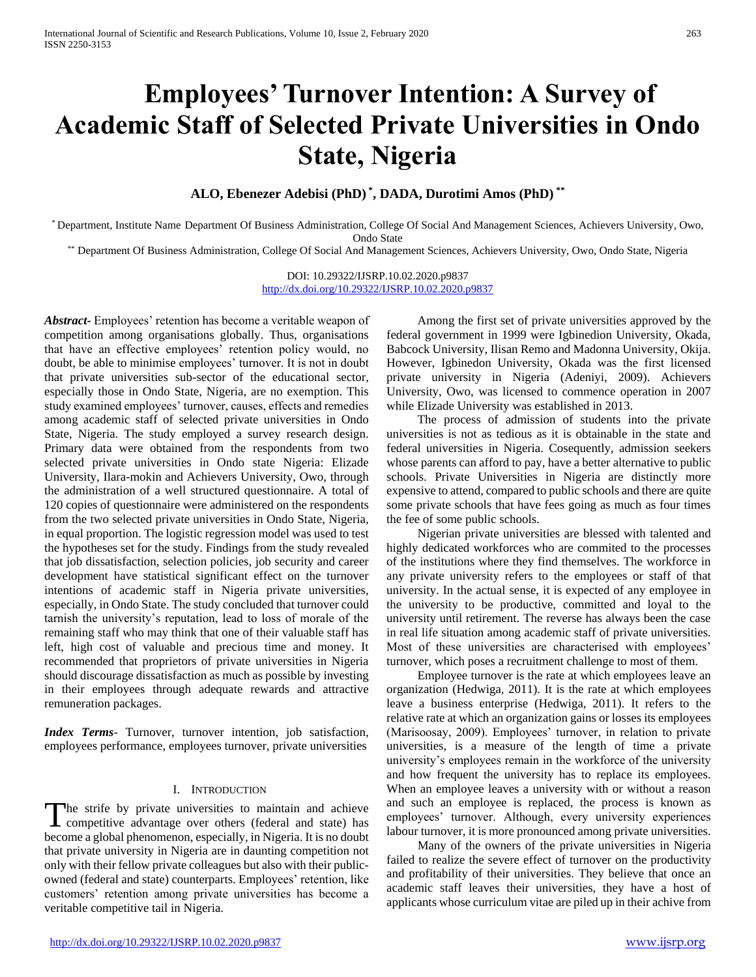# **Employees' Turnover Intention: A Survey of Academic Staff of Selected Private Universities in Ondo State, Nigeria**

**ALO, Ebenezer Adebisi (PhD) \* , DADA, Durotimi Amos (PhD) \*\***

\* Department, Institute Name Department Of Business Administration, College Of Social And Management Sciences, Achievers University, Owo, Ondo State

\*\* Department Of Business Administration, College Of Social And Management Sciences, Achievers University, Owo, Ondo State, Nigeria

DOI: 10.29322/IJSRP.10.02.2020.p9837 <http://dx.doi.org/10.29322/IJSRP.10.02.2020.p9837>

*Abstract***-** Employees' retention has become a veritable weapon of competition among organisations globally. Thus, organisations that have an effective employees' retention policy would, no doubt, be able to minimise employees' turnover. It is not in doubt that private universities sub-sector of the educational sector, especially those in Ondo State, Nigeria, are no exemption. This study examined employees' turnover, causes, effects and remedies among academic staff of selected private universities in Ondo State, Nigeria. The study employed a survey research design. Primary data were obtained from the respondents from two selected private universities in Ondo state Nigeria: Elizade University, Ilara-mokin and Achievers University, Owo, through the administration of a well structured questionnaire. A total of 120 copies of questionnaire were administered on the respondents from the two selected private universities in Ondo State, Nigeria, in equal proportion. The logistic regression model was used to test the hypotheses set for the study. Findings from the study revealed that job dissatisfaction, selection policies, job security and career development have statistical significant effect on the turnover intentions of academic staff in Nigeria private universities, especially, in Ondo State. The study concluded that turnover could tarnish the university's reputation, lead to loss of morale of the remaining staff who may think that one of their valuable staff has left, high cost of valuable and precious time and money. It recommended that proprietors of private universities in Nigeria should discourage dissatisfaction as much as possible by investing in their employees through adequate rewards and attractive remuneration packages.

*Index Terms*- Turnover, turnover intention, job satisfaction, employees performance, employees turnover, private universities

## I. INTRODUCTION

The strife by private universities to maintain and achieve The strife by private universities to maintain and achieve<br>competitive advantage over others (federal and state) has become a global phenomenon, especially, in Nigeria. It is no doubt that private university in Nigeria are in daunting competition not only with their fellow private colleagues but also with their publicowned (federal and state) counterparts. Employees' retention, like customers' retention among private universities has become a veritable competitive tail in Nigeria.

 Among the first set of private universities approved by the federal government in 1999 were Igbinedion University, Okada, Babcock University, Ilisan Remo and Madonna University, Okija. However, Igbinedon University, Okada was the first licensed private university in Nigeria (Adeniyi, 2009). Achievers University, Owo, was licensed to commence operation in 2007 while Elizade University was established in 2013.

 The process of admission of students into the private universities is not as tedious as it is obtainable in the state and federal universities in Nigeria. Cosequently, admission seekers whose parents can afford to pay, have a better alternative to public schools. Private Universities in Nigeria are distinctly more expensive to attend, compared to public schools and there are quite some private schools that have fees going as much as four times the fee of some public schools.

 Nigerian private universities are blessed with talented and highly dedicated workforces who are commited to the processes of the institutions where they find themselves. The workforce in any private university refers to the employees or staff of that university. In the actual sense, it is expected of any employee in the university to be productive, committed and loyal to the university until retirement. The reverse has always been the case in real life situation among academic staff of private universities. Most of these universities are characterised with employees' turnover, which poses a recruitment challenge to most of them.

 Employee turnover is the rate at which employees leave an organization (Hedwiga, 2011). It is the rate at which employees leave a business enterprise (Hedwiga, 2011). It refers to the relative rate at which an organization gains or losses its employees (Marisoosay, 2009). Employees' turnover, in relation to private universities, is a measure of the length of time a private university's employees remain in the workforce of the university and how frequent the university has to replace its employees. When an employee leaves a university with or without a reason and such an employee is replaced, the process is known as employees' turnover. Although, every university experiences labour turnover, it is more pronounced among private universities.

 Many of the owners of the private universities in Nigeria failed to realize the severe effect of turnover on the productivity and profitability of their universities. They believe that once an academic staff leaves their universities, they have a host of applicants whose curriculum vitae are piled up in their achive from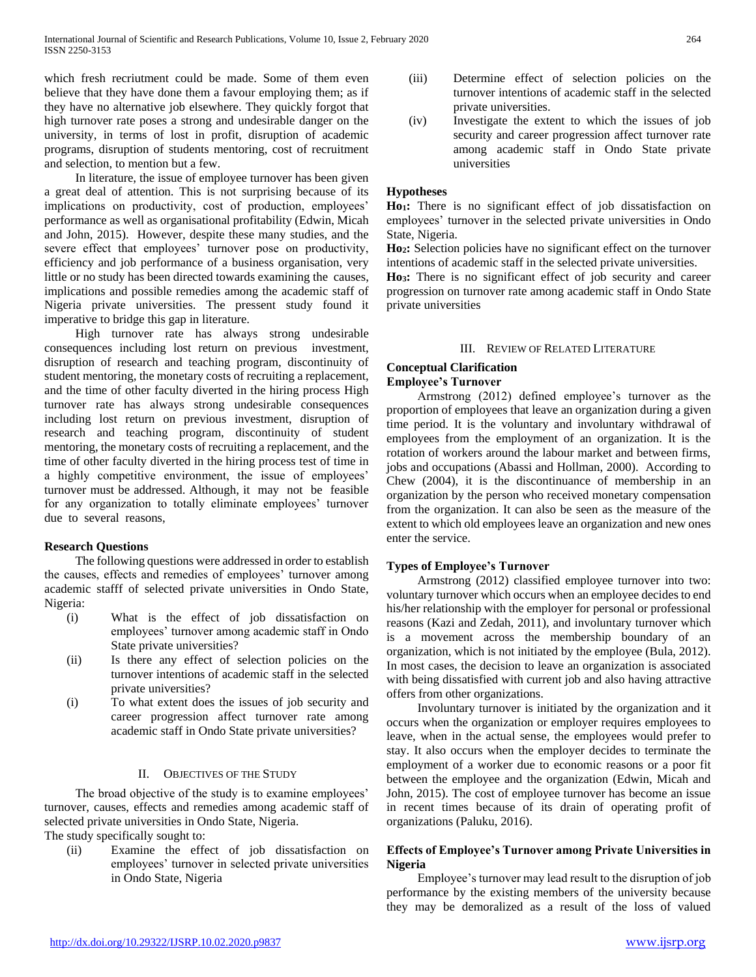which fresh recriutment could be made. Some of them even believe that they have done them a favour employing them; as if they have no alternative job elsewhere. They quickly forgot that high turnover rate poses a strong and undesirable danger on the university, in terms of lost in profit, disruption of academic programs, disruption of students mentoring, cost of recruitment and selection, to mention but a few.

 In literature, the issue of employee turnover has been given a great deal of attention. This is not surprising because of its implications on productivity, cost of production, employees' performance as well as organisational profitability (Edwin, Micah and John, 2015). However, despite these many studies, and the severe effect that employees' turnover pose on productivity, efficiency and job performance of a business organisation, very little or no study has been directed towards examining the causes, implications and possible remedies among the academic staff of Nigeria private universities. The pressent study found it imperative to bridge this gap in literature.

 High turnover rate has always strong undesirable consequences including lost return on previous investment, disruption of research and teaching program, discontinuity of student mentoring, the monetary costs of recruiting a replacement, and the time of other faculty diverted in the hiring process High turnover rate has always strong undesirable consequences including lost return on previous investment, disruption of research and teaching program, discontinuity of student mentoring, the monetary costs of recruiting a replacement, and the time of other faculty diverted in the hiring process test of time in a highly competitive environment, the issue of employees' turnover must be addressed. Although, it may not be feasible for any organization to totally eliminate employees' turnover due to several reasons,

## **Research Questions**

 The following questions were addressed in order to establish the causes, effects and remedies of employees' turnover among academic stafff of selected private universities in Ondo State, Nigeria:

- (i) What is the effect of job dissatisfaction on employees' turnover among academic staff in Ondo State private universities?
- (ii) Is there any effect of selection policies on the turnover intentions of academic staff in the selected private universities?
- (i) To what extent does the issues of job security and career progression affect turnover rate among academic staff in Ondo State private universities?

## II. OBJECTIVES OF THE STUDY

 The broad objective of the study is to examine employees' turnover, causes, effects and remedies among academic staff of selected private universities in Ondo State, Nigeria. The study specifically sought to:

(ii) Examine the effect of job dissatisfaction on employees' turnover in selected private universities in Ondo State, Nigeria

- (iii) Determine effect of selection policies on the turnover intentions of academic staff in the selected private universities.
- (iv) Investigate the extent to which the issues of job security and career progression affect turnover rate among academic staff in Ondo State private universities

# **Hypotheses**

**Ho1:** There is no significant effect of job dissatisfaction on employees' turnover in the selected private universities in Ondo State, Nigeria.

**Ho2:** Selection policies have no significant effect on the turnover intentions of academic staff in the selected private universities.

**Ho3:** There is no significant effect of job security and career progression on turnover rate among academic staff in Ondo State private universities

# III. REVIEW OF RELATED LITERATURE

# **Conceptual Clarification**

#### **Employee's Turnover**

 Armstrong (2012) defined employee's turnover as the proportion of employees that leave an organization during a given time period. It is the voluntary and involuntary withdrawal of employees from the employment of an organization. It is the rotation of workers around the labour market and between firms, jobs and occupations (Abassi and Hollman, 2000). According to Chew (2004), it is the discontinuance of membership in an organization by the person who received monetary compensation from the organization. It can also be seen as the measure of the extent to which old employees leave an organization and new ones enter the service.

# **Types of Employee's Turnover**

 Armstrong (2012) classified employee turnover into two: voluntary turnover which occurs when an employee decides to end his/her relationship with the employer for personal or professional reasons (Kazi and Zedah, 2011), and involuntary turnover which is a movement across the membership boundary of an organization, which is not initiated by the employee (Bula, 2012). In most cases, the decision to leave an organization is associated with being dissatisfied with current job and also having attractive offers from other organizations.

 Involuntary turnover is initiated by the organization and it occurs when the organization or employer requires employees to leave, when in the actual sense, the employees would prefer to stay. It also occurs when the employer decides to terminate the employment of a worker due to economic reasons or a poor fit between the employee and the organization (Edwin, Micah and John, 2015). The cost of employee turnover has become an issue in recent times because of its drain of operating profit of organizations (Paluku, 2016).

# **Effects of Employee's Turnover among Private Universities in Nigeria**

 Employee's turnover may lead result to the disruption of job performance by the existing members of the university because they may be demoralized as a result of the loss of valued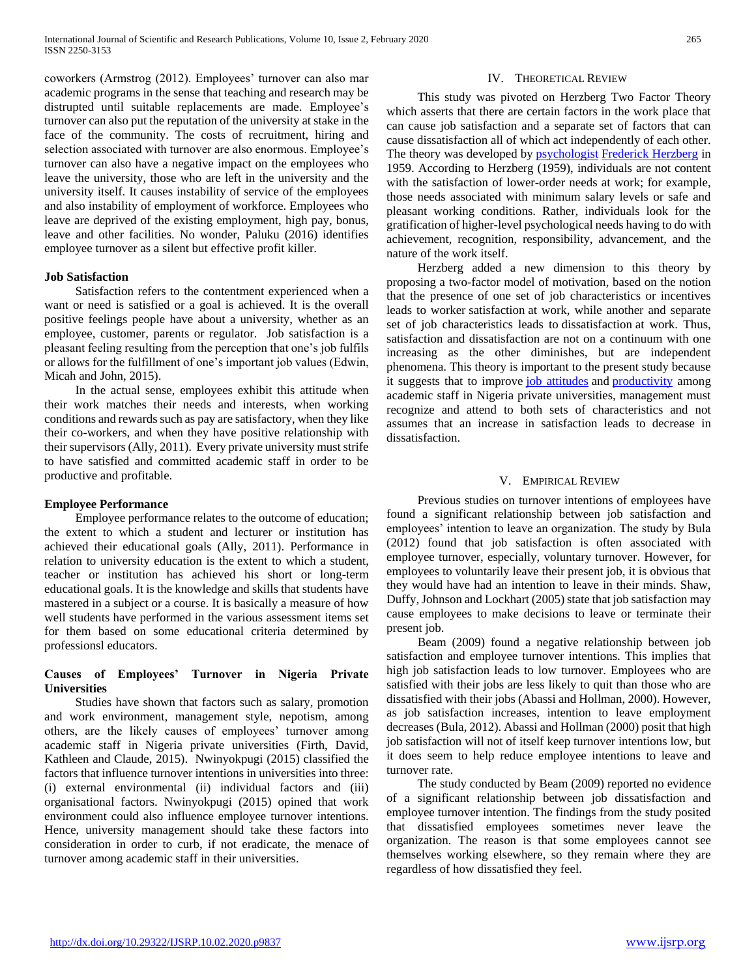coworkers (Armstrog (2012). Employees' turnover can also mar academic programs in the sense that teaching and research may be distrupted until suitable replacements are made. Employee's turnover can also put the reputation of the university at stake in the face of the community. The costs of recruitment, hiring and selection associated with turnover are also enormous. Employee's turnover can also have a negative impact on the employees who leave the university, those who are left in the university and the university itself. It causes instability of service of the employees and also instability of employment of workforce. Employees who leave are deprived of the existing employment, high pay, bonus, leave and other facilities. No wonder, Paluku (2016) identifies employee turnover as a silent but effective profit killer.

## **Job Satisfaction**

 Satisfaction refers to the contentment experienced when a want or need is satisfied or a goal is achieved. It is the overall positive feelings people have about a university, whether as an employee, customer, parents or regulator. Job satisfaction is a pleasant feeling resulting from the perception that one's job fulfils or allows for the fulfillment of one's important job values (Edwin, Micah and John, 2015).

 In the actual sense, employees exhibit this attitude when their work matches their needs and interests, when working conditions and rewards such as pay are satisfactory, when they like their co-workers, and when they have positive relationship with their supervisors (Ally, 2011). Every private university must strife to have satisfied and committed academic staff in order to be productive and profitable.

#### **Employee Performance**

 Employee performance relates to the outcome of education; the extent to which a student and lecturer or institution has achieved their educational goals (Ally, 2011). Performance in relation to university education is the extent to which a student, teacher or institution has achieved his short or long-term educational goals. It is the knowledge and skills that students have mastered in a subject or a course. It is basically a measure of how well students have performed in the various assessment items set for them based on some educational criteria determined by professionsl educators.

# **Causes of Employees' Turnover in Nigeria Private Universities**

 Studies have shown that factors such as salary, promotion and work environment, management style, nepotism, among others, are the likely causes of employees' turnover among academic staff in Nigeria private universities (Firth, David, Kathleen and Claude, 2015). Nwinyokpugi (2015) classified the factors that influence turnover intentions in universities into three: (i) external environmental (ii) individual factors and (iii) organisational factors. Nwinyokpugi (2015) opined that work environment could also influence employee turnover intentions. Hence, university management should take these factors into consideration in order to curb, if not eradicate, the menace of turnover among academic staff in their universities.

#### IV. THEORETICAL REVIEW

 This study was pivoted on Herzberg Two Factor Theory which asserts that there are certain factors in the work place that can cause job satisfaction and a separate set of factors that can cause dissatisfaction all of which act independently of each other. The theory was developed by **[psychologist](https://en.wikipedia.org/wiki/Psychologist)** [Frederick Herzberg](https://en.wikipedia.org/wiki/Frederick_Herzberg) in 1959. According to Herzberg (1959), individuals are not content with the satisfaction of lower-order needs at work; for example, those needs associated with minimum salary levels or safe and pleasant working conditions. Rather, individuals look for the gratification of higher-level psychological needs having to do with achievement, recognition, responsibility, advancement, and the nature of the work itself.

 Herzberg added a new dimension to this theory by proposing a two-factor model of motivation, based on the notion that the presence of one set of job characteristics or incentives leads to worker satisfaction at work, while another and separate set of job characteristics leads to dissatisfaction at work. Thus, satisfaction and dissatisfaction are not on a continuum with one increasing as the other diminishes, but are independent phenomena. This theory is important to the present study because it suggests that to improve [job attitudes](https://en.wikipedia.org/wiki/Job_attitude) and [productivity](https://en.wikipedia.org/wiki/Productivity) among academic staff in Nigeria private universities, management must recognize and attend to both sets of characteristics and not assumes that an increase in satisfaction leads to decrease in dissatisfaction.

#### V. EMPIRICAL REVIEW

 Previous studies on turnover intentions of employees have found a significant relationship between job satisfaction and employees' intention to leave an organization. The study by Bula (2012) found that job satisfaction is often associated with employee turnover, especially, voluntary turnover. However, for employees to voluntarily leave their present job, it is obvious that they would have had an intention to leave in their minds. Shaw, Duffy, Johnson and Lockhart (2005) state that job satisfaction may cause employees to make decisions to leave or terminate their present job.

 Beam (2009) found a negative relationship between job satisfaction and employee turnover intentions. This implies that high job satisfaction leads to low turnover. Employees who are satisfied with their jobs are less likely to quit than those who are dissatisfied with their jobs (Abassi and Hollman, 2000). However, as job satisfaction increases, intention to leave employment decreases (Bula, 2012). Abassi and Hollman (2000) posit that high job satisfaction will not of itself keep turnover intentions low, but it does seem to help reduce employee intentions to leave and turnover rate.

 The study conducted by Beam (2009) reported no evidence of a significant relationship between job dissatisfaction and employee turnover intention. The findings from the study posited that dissatisfied employees sometimes never leave the organization. The reason is that some employees cannot see themselves working elsewhere, so they remain where they are regardless of how dissatisfied they feel.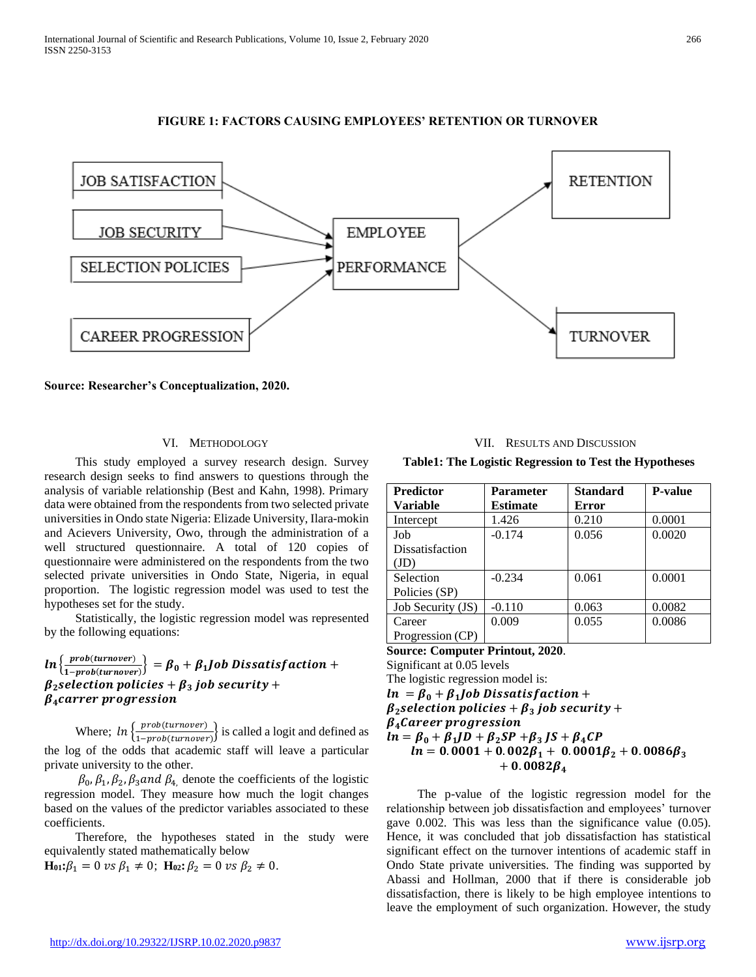





#### VI. METHODOLOGY

 This study employed a survey research design. Survey research design seeks to find answers to questions through the analysis of variable relationship (Best and Kahn, 1998). Primary data were obtained from the respondents from two selected private universities in Ondo state Nigeria: Elizade University, Ilara-mokin and Acievers University, Owo, through the administration of a well structured questionnaire. A total of 120 copies of questionnaire were administered on the respondents from the two selected private universities in Ondo State, Nigeria, in equal proportion. The logistic regression model was used to test the hypotheses set for the study.

 Statistically, the logistic regression model was represented by the following equations:

## $ln\left\{\frac{prob(turnover)}{1-m\nu}$  $\left\{\frac{1}{1 - prob(turnover)}\right\} = \beta_0 + \beta_1$  Job Dissatisfaction +  $\beta_2$  selection policies +  $\beta_3$  job security +  $\beta_4$ carrer progression

Where;  $\ln \left\{ \frac{prob(turnover)}{1 - m} \right\}$  $\frac{1 - prob(turnover)}{1 - prob(turnover)}$  is called a logit and defined as the log of the odds that academic staff will leave a particular private university to the other.

 $\beta_0$ ,  $\beta_1$ ,  $\beta_2$ ,  $\beta_3$  and  $\beta_4$ , denote the coefficients of the logistic regression model. They measure how much the logit changes based on the values of the predictor variables associated to these coefficients.

 Therefore, the hypotheses stated in the study were equivalently stated mathematically below

 $\mathbf{H}_{01}$ **:** $\beta_1 = 0$  *vs*  $\beta_1 \neq 0$ ;  $\mathbf{H}_{02}$ **:**  $\beta_2 = 0$  *vs*  $\beta_2 \neq 0$ .

VII. RESULTS AND DISCUSSION

**Table1: The Logistic Regression to Test the Hypotheses**

| <b>Predictor</b>  | <b>Parameter</b> | <b>Standard</b> | <b>P-value</b> |
|-------------------|------------------|-----------------|----------------|
| <b>Variable</b>   | <b>Estimate</b>  | Error           |                |
| Intercept         | 1.426            | 0.210           | 0.0001         |
| Job               | $-0.174$         | 0.056           | 0.0020         |
| Dissatisfaction   |                  |                 |                |
| (JD)              |                  |                 |                |
| Selection         | $-0.234$         | 0.061           | 0.0001         |
| Policies (SP)     |                  |                 |                |
| Job Security (JS) | $-0.110$         | 0.063           | 0.0082         |
| Career            | 0.009            | 0.055           | 0.0086         |
| Progression (CP)  |                  |                 |                |

**Source: Computer Printout, 2020**.

Significant at 0.05 levels

The logistic regression model is:  $ln = \beta_0 + \beta_1$  Job Dissatisfaction +  $\beta_2$  selection policies +  $\beta_3$  job security +  $\beta_4$ Career progression  $ln = \beta_0 + \beta_1 JD + \beta_2 SP + \beta_3 JS + \beta_4 CP$  $ln = 0.0001 + 0.002\beta_1 + 0.0001\beta_2 + 0.0086\beta_3$  $+ 0.0082 B_4$ 

 The p-value of the logistic regression model for the relationship between job dissatisfaction and employees' turnover gave 0.002. This was less than the significance value (0.05). Hence, it was concluded that job dissatisfaction has statistical significant effect on the turnover intentions of academic staff in Ondo State private universities. The finding was supported by Abassi and Hollman, 2000 that if there is considerable job dissatisfaction, there is likely to be high employee intentions to leave the employment of such organization. However, the study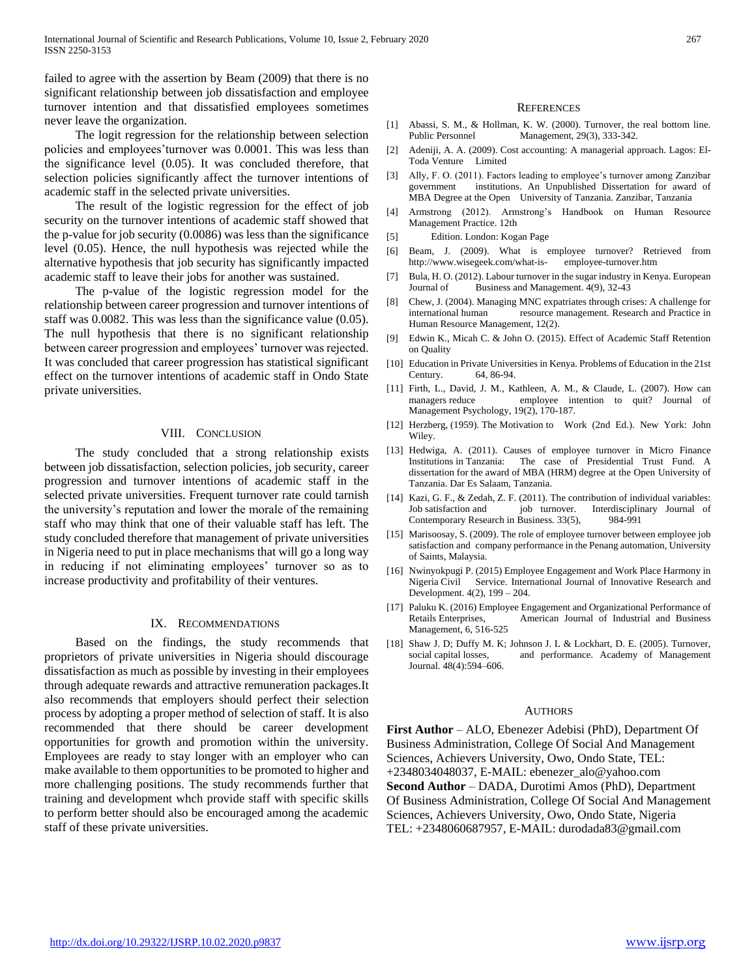failed to agree with the assertion by Beam (2009) that there is no significant relationship between job dissatisfaction and employee turnover intention and that dissatisfied employees sometimes never leave the organization.

 The logit regression for the relationship between selection policies and employees'turnover was 0.0001. This was less than the significance level (0.05). It was concluded therefore, that selection policies significantly affect the turnover intentions of academic staff in the selected private universities.

 The result of the logistic regression for the effect of job security on the turnover intentions of academic staff showed that the p-value for job security (0.0086) was less than the significance level (0.05). Hence, the null hypothesis was rejected while the alternative hypothesis that job security has significantly impacted academic staff to leave their jobs for another was sustained.

 The p-value of the logistic regression model for the relationship between career progression and turnover intentions of staff was 0.0082. This was less than the significance value (0.05). The null hypothesis that there is no significant relationship between career progression and employees' turnover was rejected. It was concluded that career progression has statistical significant effect on the turnover intentions of academic staff in Ondo State private universities.

#### VIII. CONCLUSION

 The study concluded that a strong relationship exists between job dissatisfaction, selection policies, job security, career progression and turnover intentions of academic staff in the selected private universities. Frequent turnover rate could tarnish the university's reputation and lower the morale of the remaining staff who may think that one of their valuable staff has left. The study concluded therefore that management of private universities in Nigeria need to put in place mechanisms that will go a long way in reducing if not eliminating employees' turnover so as to increase productivity and profitability of their ventures.

#### IX. RECOMMENDATIONS

 Based on the findings, the study recommends that proprietors of private universities in Nigeria should discourage dissatisfaction as much as possible by investing in their employees through adequate rewards and attractive remuneration packages.It also recommends that employers should perfect their selection process by adopting a proper method of selection of staff. It is also recommended that there should be career development opportunities for growth and promotion within the university. Employees are ready to stay longer with an employer who can make available to them opportunities to be promoted to higher and more challenging positions. The study recommends further that training and development whch provide staff with specific skills to perform better should also be encouraged among the academic staff of these private universities.

#### **REFERENCES**

- [1] Abassi, S. M., & Hollman, K. W. (2000). Turnover, the real bottom line. Public Personnel Management, 29(3), 333-342.
- [2] Adeniji, A. A. (2009). Cost accounting: A managerial approach. Lagos: El-Toda Venture Limited
- [3] Ally, F. O. (2011). Factors leading to employee's turnover among Zanzibar government institutions. An Unpublished Dissertation for award of MBA Degree at the Open University of Tanzania. Zanzibar, Tanzania
- [4] Armstrong (2012). Armstrong's Handbook on Human Resource Management Practice. 12th
- [5] Edition. London: Kogan Page
- [6] Beam, J. (2009). What is employee turnover? Retrieved from http://www.wisegeek.com/what-is- employee-turnover.htm
- [7] Bula, H. O. (2012). Labour turnover in the sugar industry in Kenya. European Journal of Business and Management. 4(9), 32-43
- [8] Chew, J. (2004). Managing MNC expatriates through crises: A challenge for international human resource management. Research and Practice in Human Resource Management, 12(2).
- [9] Edwin K., Micah C. & John O. (2015). Effect of Academic Staff Retention on Quality
- [10] Education in Private Universities in Kenya. Problems of Education in the 21st Century. 64, 86-94.
- [11] Firth, L., David, J. M., Kathleen, A. M., & Claude, L. (2007). How can managers reduce employee intention to quit? Journal of Management Psychology, 19(2), 170-187.
- [12] Herzberg, (1959). The Motivation to Work (2nd Ed.). New York: John Wiley.
- [13] Hedwiga, A. (2011). Causes of employee turnover in Micro Finance Institutions in Tanzania: The case of Presidential Trust Fund. A dissertation for the award of MBA (HRM) degree at the Open University of Tanzania. Dar Es Salaam, Tanzania.
- [14] Kazi, G. F., & Zedah, Z. F. (2011). The contribution of individual variables: Job satisfaction and job turnover. Interdisciplinary Journal of Contemporary Research in Business. 33(5), 984-991
- [15] Marisoosay, S. (2009). The role of employee turnover between employee job satisfaction and company performance in the Penang automation, University of Saints, Malaysia.
- [16] Nwinyokpugi P. (2015) Employee Engagement and Work Place Harmony in Nigeria Civil Service. International Journal of Innovative Research and Development. 4(2), 199 – 204.
- [17] Paluku K. (2016) Employee Engagement and Organizational Performance of Retails Enterprises, American Journal of Industrial and Business Management, 6, 516-525
- [18] Shaw J. D; Duffy M. K; Johnson J. L & Lockhart, D. E. (2005). Turnover, social capital losses, and performance. Academy of Management Journal. 48(4):594–606.

#### **AUTHORS**

**First Author** – ALO, Ebenezer Adebisi (PhD), Department Of Business Administration, College Of Social And Management Sciences, Achievers University, Owo, Ondo State, TEL: +2348034048037, E-MAIL: ebenezer\_alo@yahoo.com **Second Author** – DADA, Durotimi Amos (PhD), Department Of Business Administration, College Of Social And Management Sciences, Achievers University, Owo, Ondo State, Nigeria TEL: +2348060687957, E-MAIL: durodada83@gmail.com